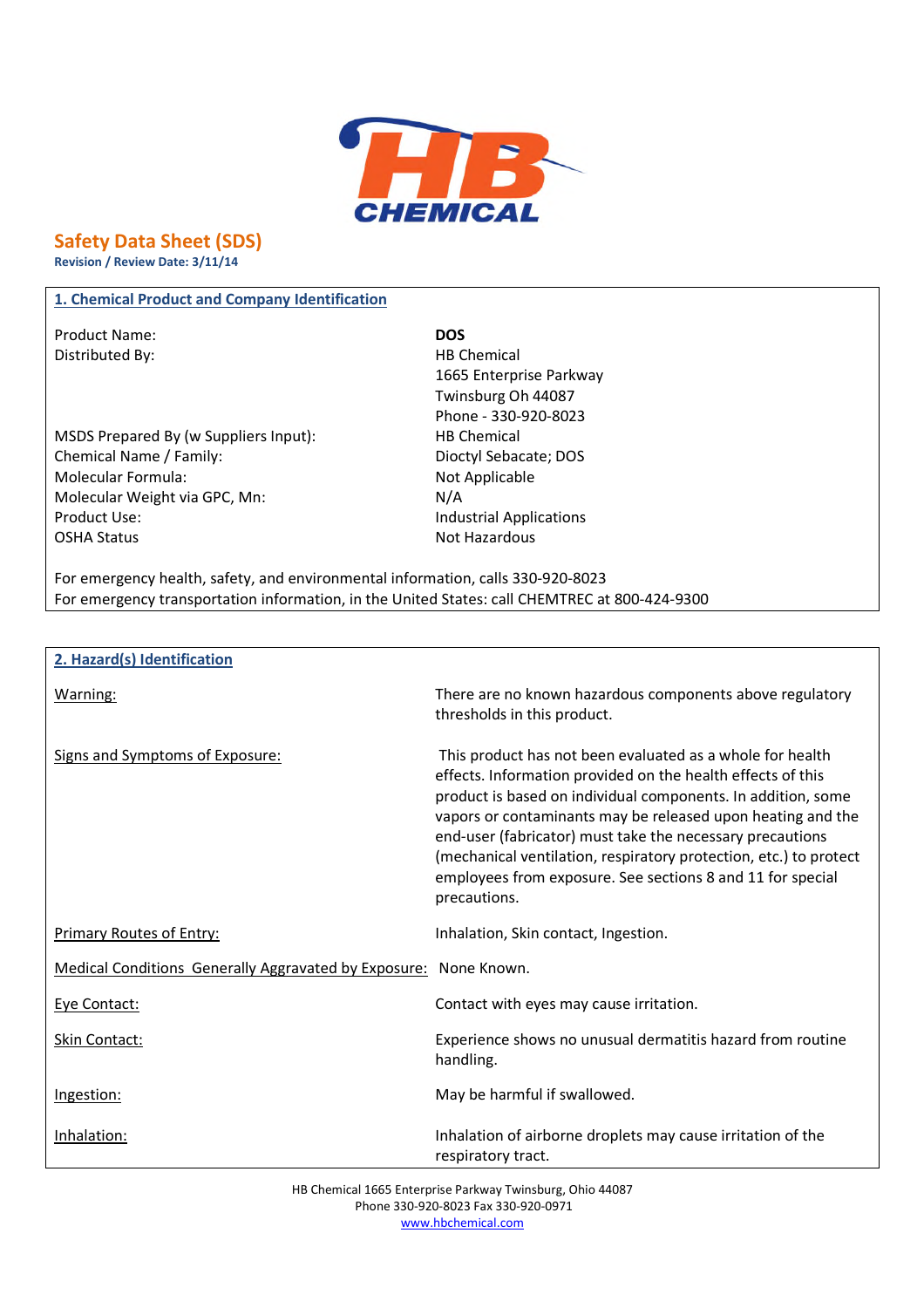

# **Safety Data Sheet (SDS)**

**Revision / Review Date: 3/11/14**

## **1. Chemical Product and Company Identification**

Product Name: **DOS** Distributed By: Notice and Security and Security HB Chemical

 $\mathsf{r}$ 

MSDS Prepared By (w Suppliers Input): HB Chemical Chemical Name / Family: Dioctyl Sebacate; DOS Molecular Formula: Not Applicable Molecular Weight via GPC, Mn: N/A Product Use: Industrial Applications OSHA Status Not Hazardous

1665 Enterprise Parkway Twinsburg Oh 44087 Phone - 330-920-8023

For emergency health, safety, and environmental information, calls 330-920-8023 For emergency transportation information, in the United States: call CHEMTREC at 800-424-9300

| 2. Hazard(s) Identification                                      |                                                                                                                                                                                                                                                                                                                                                                                                                                                                         |
|------------------------------------------------------------------|-------------------------------------------------------------------------------------------------------------------------------------------------------------------------------------------------------------------------------------------------------------------------------------------------------------------------------------------------------------------------------------------------------------------------------------------------------------------------|
| Warning:                                                         | There are no known hazardous components above regulatory<br>thresholds in this product.                                                                                                                                                                                                                                                                                                                                                                                 |
| Signs and Symptoms of Exposure:                                  | This product has not been evaluated as a whole for health<br>effects. Information provided on the health effects of this<br>product is based on individual components. In addition, some<br>vapors or contaminants may be released upon heating and the<br>end-user (fabricator) must take the necessary precautions<br>(mechanical ventilation, respiratory protection, etc.) to protect<br>employees from exposure. See sections 8 and 11 for special<br>precautions. |
| <b>Primary Routes of Entry:</b>                                  | Inhalation, Skin contact, Ingestion.                                                                                                                                                                                                                                                                                                                                                                                                                                    |
| Medical Conditions Generally Aggravated by Exposure: None Known. |                                                                                                                                                                                                                                                                                                                                                                                                                                                                         |
| Eye Contact:                                                     | Contact with eyes may cause irritation.                                                                                                                                                                                                                                                                                                                                                                                                                                 |
| Skin Contact:                                                    | Experience shows no unusual dermatitis hazard from routine<br>handling.                                                                                                                                                                                                                                                                                                                                                                                                 |
| Ingestion:                                                       | May be harmful if swallowed.                                                                                                                                                                                                                                                                                                                                                                                                                                            |
| Inhalation:                                                      | Inhalation of airborne droplets may cause irritation of the<br>respiratory tract.                                                                                                                                                                                                                                                                                                                                                                                       |

HB Chemical 1665 Enterprise Parkway Twinsburg, Ohio 44087 Phone 330-920-8023 Fax 330-920-0971 www.hbchemical.com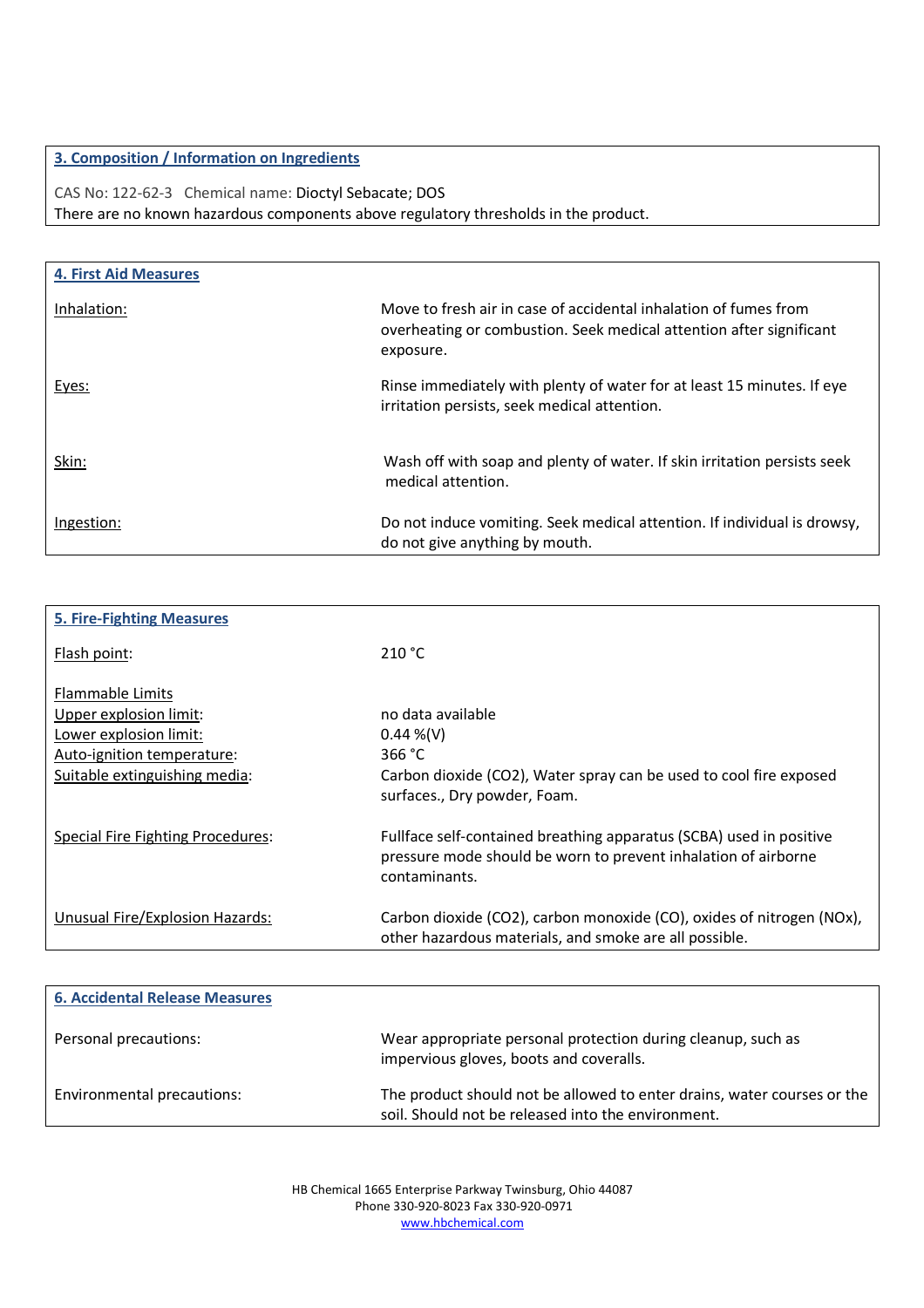## **3. Composition / Information on Ingredients**

CAS No: 122-62-3 Chemical name: Dioctyl Sebacate; DOS There are no known hazardous components above regulatory thresholds in the product.

| <b>4. First Aid Measures</b> |                                                                                                                                                      |
|------------------------------|------------------------------------------------------------------------------------------------------------------------------------------------------|
| Inhalation:                  | Move to fresh air in case of accidental inhalation of fumes from<br>overheating or combustion. Seek medical attention after significant<br>exposure. |
| Eyes:                        | Rinse immediately with plenty of water for at least 15 minutes. If eye<br>irritation persists, seek medical attention.                               |
| Skin:                        | Wash off with soap and plenty of water. If skin irritation persists seek<br>medical attention.                                                       |
| Ingestion:                   | Do not induce vomiting. Seek medical attention. If individual is drowsy,<br>do not give anything by mouth.                                           |

| <b>5. Fire-Fighting Measures</b>  |                                                                       |
|-----------------------------------|-----------------------------------------------------------------------|
| Flash point:                      | 210 °C                                                                |
| <b>Flammable Limits</b>           |                                                                       |
| Upper explosion limit:            | no data available                                                     |
| Lower explosion limit:            | $0.44\%$ (V)                                                          |
| Auto-ignition temperature:        | 366 $°C$                                                              |
| Suitable extinguishing media:     | Carbon dioxide (CO2), Water spray can be used to cool fire exposed    |
|                                   | surfaces., Dry powder, Foam.                                          |
| Special Fire Fighting Procedures: | Fullface self-contained breathing apparatus (SCBA) used in positive   |
|                                   | pressure mode should be worn to prevent inhalation of airborne        |
|                                   | contaminants.                                                         |
| Unusual Fire/Explosion Hazards:   | Carbon dioxide (CO2), carbon monoxide (CO), oxides of nitrogen (NOx), |
|                                   | other hazardous materials, and smoke are all possible.                |
|                                   |                                                                       |

| <b>6. Accidental Release Measures</b> |                                                                                                                               |
|---------------------------------------|-------------------------------------------------------------------------------------------------------------------------------|
| Personal precautions:                 | Wear appropriate personal protection during cleanup, such as<br>impervious gloves, boots and coveralls.                       |
| Environmental precautions:            | The product should not be allowed to enter drains, water courses or the<br>soil. Should not be released into the environment. |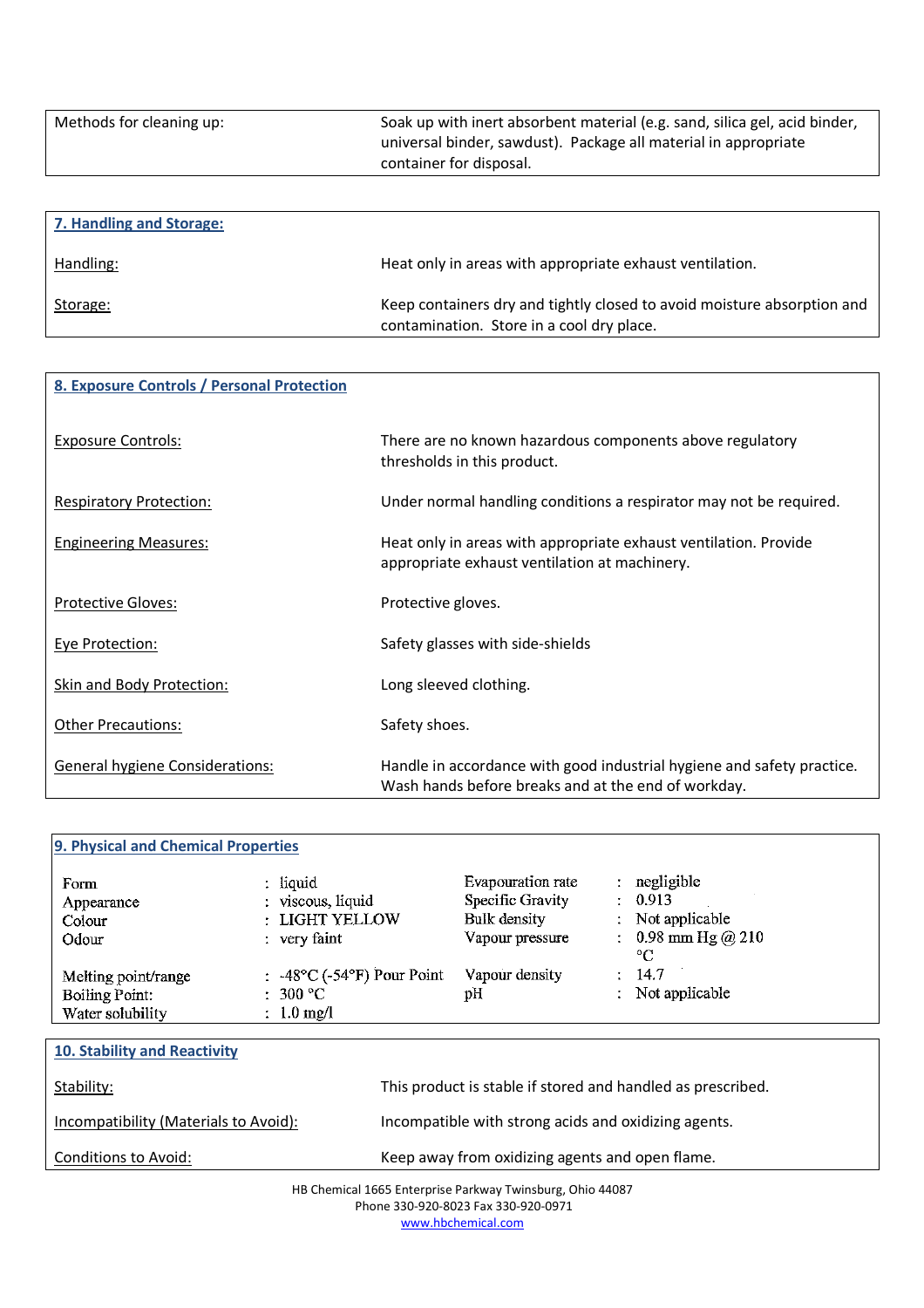| Methods for cleaning up: | Soak up with inert absorbent material (e.g. sand, silica gel, acid binder,<br>universal binder, sawdust). Package all material in appropriate<br>container for disposal. |
|--------------------------|--------------------------------------------------------------------------------------------------------------------------------------------------------------------------|
|                          |                                                                                                                                                                          |

| 7. Handling and Storage: |                                                                                                                      |
|--------------------------|----------------------------------------------------------------------------------------------------------------------|
| Handling:                | Heat only in areas with appropriate exhaust ventilation.                                                             |
| Storage:                 | Keep containers dry and tightly closed to avoid moisture absorption and<br>contamination. Store in a cool dry place. |

| 8. Exposure Controls / Personal Protection |                                                                                                                               |  |
|--------------------------------------------|-------------------------------------------------------------------------------------------------------------------------------|--|
| <b>Exposure Controls:</b>                  | There are no known hazardous components above regulatory<br>thresholds in this product.                                       |  |
| <b>Respiratory Protection:</b>             | Under normal handling conditions a respirator may not be required.                                                            |  |
| <b>Engineering Measures:</b>               | Heat only in areas with appropriate exhaust ventilation. Provide<br>appropriate exhaust ventilation at machinery.             |  |
| <b>Protective Gloves:</b>                  | Protective gloves.                                                                                                            |  |
| <b>Eye Protection:</b>                     | Safety glasses with side-shields                                                                                              |  |
| Skin and Body Protection:                  | Long sleeved clothing.                                                                                                        |  |
| <b>Other Precautions:</b>                  | Safety shoes.                                                                                                                 |  |
| <b>General hygiene Considerations:</b>     | Handle in accordance with good industrial hygiene and safety practice.<br>Wash hands before breaks and at the end of workday. |  |

| 9. Physical and Chemical Properties |                                 |                                       |                                     |
|-------------------------------------|---------------------------------|---------------------------------------|-------------------------------------|
| Form<br>Appearance                  | $:$ liquid<br>: viscous, liquid | Evapouration rate<br>Specific Gravity | negligible<br>$\cdot$ 0.913         |
| Colour                              | : LIGHT YELLOW                  | Bulk density                          | Not applicable<br>÷                 |
| Odour                               | $:$ very faint                  | Vapour pressure                       | : $0.98$ mm Hg @ 210<br>$^{\circ}C$ |
| Melting point/range                 | : -48°C (-54°F) Pour Point      | Vapour density                        | 14.7<br>÷                           |
| Boiling Point:                      | $:300\text{ °C}$                | pH                                    | Not applicable                      |
| Water solubility                    | $\therefore$ 1.0 mg/l           |                                       |                                     |

| 10. Stability and Reactivity          |                                                             |
|---------------------------------------|-------------------------------------------------------------|
| Stability:                            | This product is stable if stored and handled as prescribed. |
| Incompatibility (Materials to Avoid): | Incompatible with strong acids and oxidizing agents.        |
| Conditions to Avoid:                  | Keep away from oxidizing agents and open flame.             |

HB Chemical 1665 Enterprise Parkway Twinsburg, Ohio 44087 Phone 330-920-8023 Fax 330-920-0971

www.hbchemical.com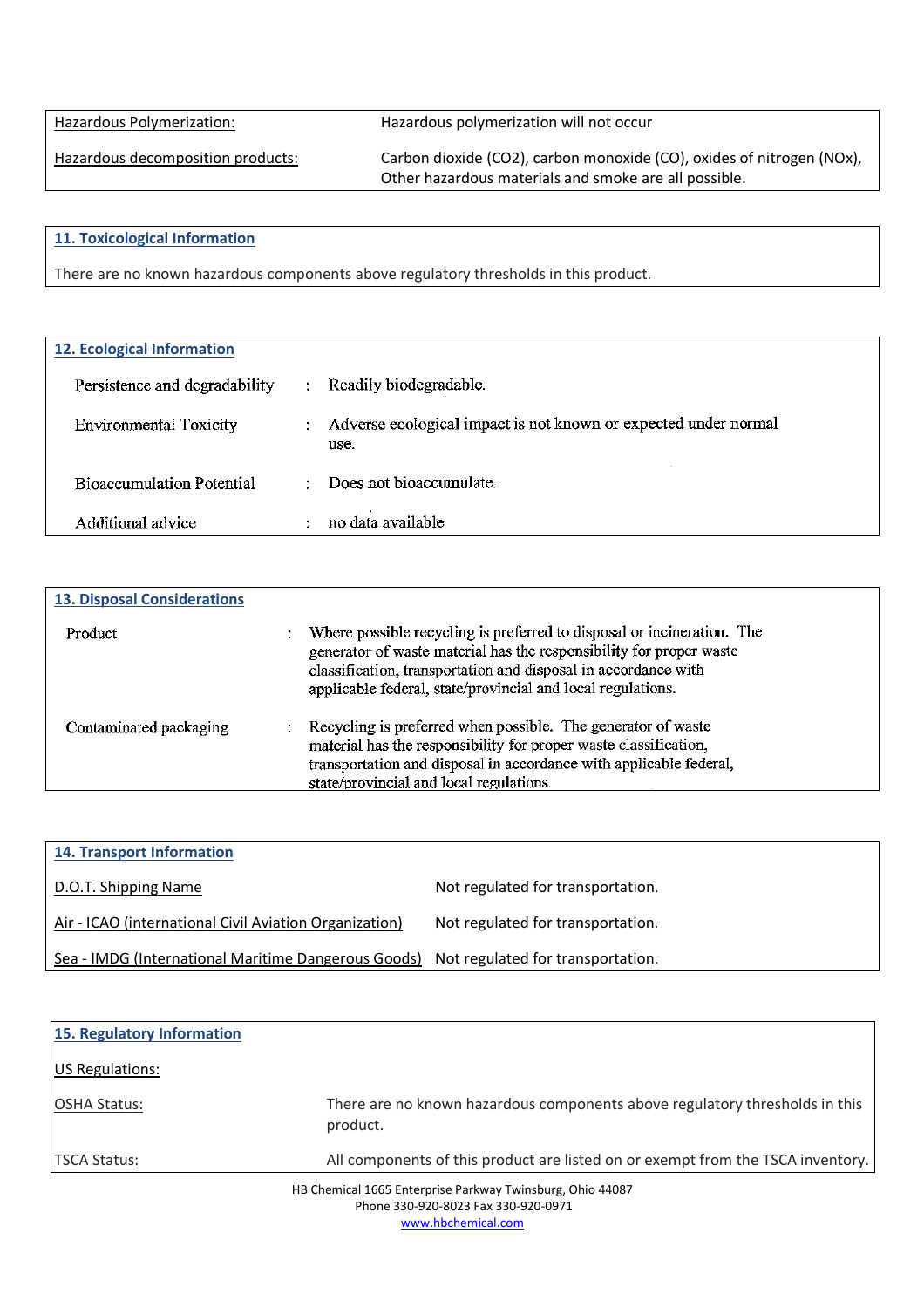Hazardous Polymerization: Hazardous polymerization will not occur

Hazardous decomposition products: Carbon dioxide (CO2), carbon monoxide (CO), oxides of nitrogen (NOx), Other hazardous materials and smoke are all possible.

### **11. Toxicological Information**

There are no known hazardous components above regulatory thresholds in this product.

| <b>12. Ecological Information</b> |    |                                                                         |
|-----------------------------------|----|-------------------------------------------------------------------------|
| Persistence and degradability     | ÷  | Readily biodegradable.                                                  |
| <b>Environmental Toxicity</b>     | ÷. | Adverse ecological impact is not known or expected under normal<br>use. |
| <b>Bioaccumulation Potential</b>  | ٠  | Does not bioaccumulate.                                                 |
| Additional advice                 |    | no data available                                                       |

| <b>13. Disposal Considerations</b> |                                                                                                                                                                                                                                                                                |
|------------------------------------|--------------------------------------------------------------------------------------------------------------------------------------------------------------------------------------------------------------------------------------------------------------------------------|
| Product                            | Where possible recycling is preferred to disposal or incineration. The<br>generator of waste material has the responsibility for proper waste<br>classification, transportation and disposal in accordance with<br>applicable federal, state/provincial and local regulations. |
| Contaminated packaging             | Recycling is preferred when possible. The generator of waste<br>material has the responsibility for proper waste classification,<br>transportation and disposal in accordance with applicable federal,<br>state/provincial and local regulations.                              |

| <b>14. Transport Information</b>                       |                                   |
|--------------------------------------------------------|-----------------------------------|
| D.O.T. Shipping Name                                   | Not regulated for transportation. |
| Air - ICAO (international Civil Aviation Organization) | Not regulated for transportation. |
| Sea - IMDG (International Maritime Dangerous Goods)    | Not regulated for transportation. |

| 15. Regulatory Information                                                                       |                                                                                         |
|--------------------------------------------------------------------------------------------------|-----------------------------------------------------------------------------------------|
| <b>US Regulations:</b>                                                                           |                                                                                         |
| <b>OSHA Status:</b>                                                                              | There are no known hazardous components above regulatory thresholds in this<br>product. |
| <b>TSCA Status:</b>                                                                              | All components of this product are listed on or exempt from the TSCA inventory.         |
| HB Chemical 1665 Enterprise Parkway Twinsburg, Ohio 44087<br>Phone 330-920-8023 Fax 330-920-0971 |                                                                                         |

www.hbchemical.com